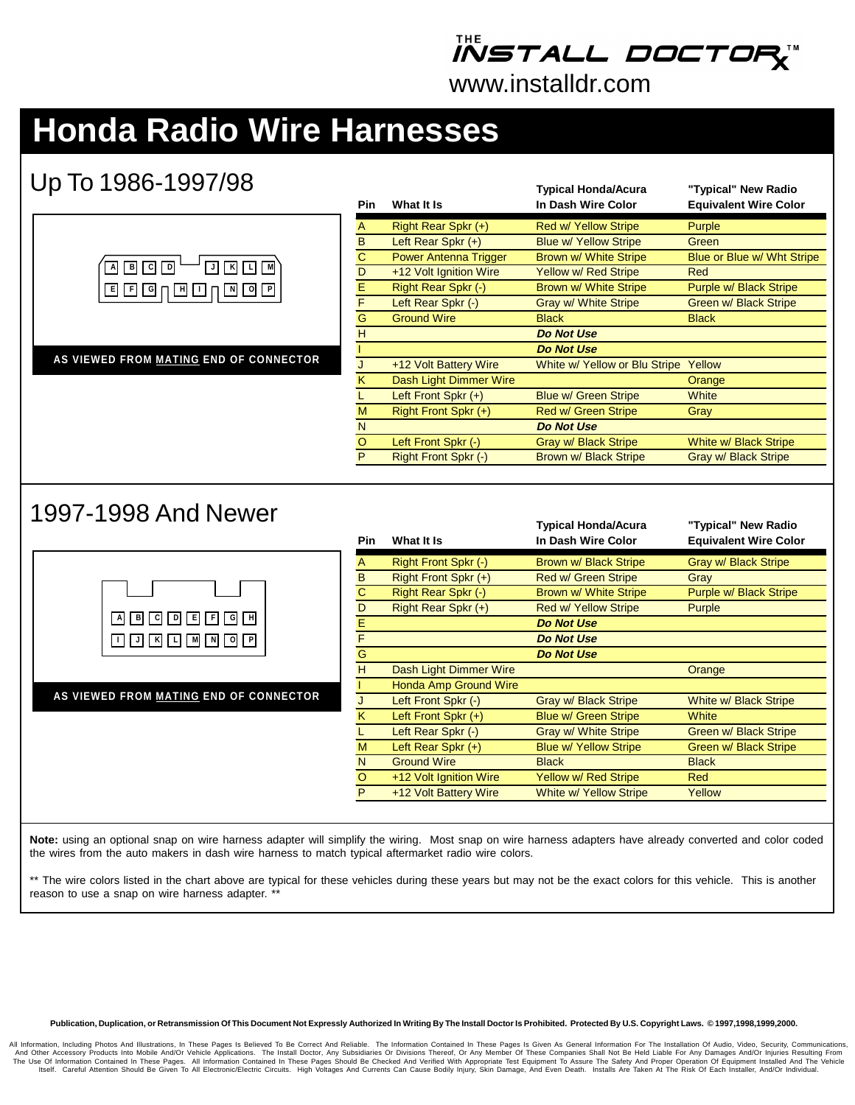## *IÑSTALL DOCTOF*

www.installdr.com

## **Honda Radio Wire Harnesses**

### Up To 1986-1997/98

| <u>UD IU IYOU IYYI/YO</u>                           | Pin      | What It Is                   | <b>Typical Honda/Acura</b><br>In Dash Wire Color | "Typical" New Radio<br><b>Equivalent Wire Color</b> |
|-----------------------------------------------------|----------|------------------------------|--------------------------------------------------|-----------------------------------------------------|
|                                                     | A        | Right Rear Spkr (+)          | Red w/ Yellow Stripe                             | Purple                                              |
|                                                     | B        | Left Rear Spkr (+)           | <b>Blue w/ Yellow Stripe</b>                     | Green                                               |
|                                                     | C        | <b>Power Antenna Trigger</b> | Brown w/ White Stripe                            | Blue or Blue w/ Wht Stripe                          |
| B C D<br>$\overline{A}$<br>KL<br>Iм<br>$\mathsf{J}$ | D        | +12 Volt Ignition Wire       | Yellow w/ Red Stripe                             | Red                                                 |
| <u> ▣ ▣ ▣ ⊓ ▣ □ ⊓ ▣ ▣ ▣ □</u>                       | E        | Right Rear Spkr (-)          | Brown w/ White Stripe                            | Purple w/ Black Stripe                              |
|                                                     | F        | Left Rear Spkr (-)           | Gray w/ White Stripe                             | Green w/ Black Stripe                               |
|                                                     | G        | <b>Ground Wire</b>           | <b>Black</b>                                     | <b>Black</b>                                        |
|                                                     | H        |                              | <b>Do Not Use</b>                                |                                                     |
|                                                     |          |                              | <b>Do Not Use</b>                                |                                                     |
| AS VIEWED FROM MATING END OF CONNECTOR              |          | +12 Volt Battery Wire        | White w/ Yellow or Blu Stripe                    | Yellow                                              |
|                                                     | κ        | Dash Light Dimmer Wire       |                                                  | Orange                                              |
|                                                     |          | Left Front Spkr $(+)$        | <b>Blue w/ Green Stripe</b>                      | White                                               |
|                                                     | м        | Right Front Spkr (+)         | Red w/ Green Stripe                              | Gray                                                |
|                                                     | N        |                              | <b>Do Not Use</b>                                |                                                     |
|                                                     | $\Omega$ | Left Front Spkr (-)          | <b>Gray w/ Black Stripe</b>                      | White w/ Black Stripe                               |
|                                                     | P        | Right Front Spkr (-)         | Brown w/ Black Stripe                            | Gray w/ Black Stripe                                |
| 1997-1998 And Newer                                 |          |                              | <b>Typical Honda/Acura</b>                       | "Typical" New Radio                                 |
|                                                     | Pin      | What It Is                   | In Dash Wire Color                               | <b>Equivalent Wire Color</b>                        |
|                                                     |          |                              |                                                  |                                                     |
|                                                     | A        | Right Front Spkr (-)         | Brown w/ Black Stripe                            | Gray w/ Black Stripe                                |
|                                                     | R        | $Richt$ Front Spkr $(+)$     | Red w/ Green Strine                              | Gray                                                |



**AS VIEWED FROM MATING END OF CONNECTOR**

| Pin     | What It Is                   | <b>Typical Honda/Acura</b><br>In Dash Wire Color | "Typical" New Radio<br><b>Equivalent Wire Color</b> |
|---------|------------------------------|--------------------------------------------------|-----------------------------------------------------|
| A       | Right Front Spkr (-)         | Brown w/ Black Stripe                            | Gray w/ Black Stripe                                |
| B       | Right Front Spkr (+)         | <b>Red w/ Green Stripe</b>                       | Gray                                                |
| C       | Right Rear Spkr (-)          | Brown w/ White Stripe                            | Purple w/ Black Stripe                              |
| D       | Right Rear Spkr (+)          | <b>Red w/ Yellow Stripe</b>                      | Purple                                              |
| E       |                              | <b>Do Not Use</b>                                |                                                     |
| F       |                              | <b>Do Not Use</b>                                |                                                     |
| G       |                              | <b>Do Not Use</b>                                |                                                     |
| H       | Dash Light Dimmer Wire       |                                                  | Orange                                              |
|         | <b>Honda Amp Ground Wire</b> |                                                  |                                                     |
| J       | Left Front Spkr (-)          | Gray w/ Black Stripe                             | White w/ Black Stripe                               |
| K       | Left Front Spkr $(+)$        | Blue w/ Green Stripe                             | White                                               |
|         | Left Rear Spkr (-)           | <b>Gray w/ White Stripe</b>                      | Green w/ Black Stripe                               |
| M       | Left Rear Spkr $(+)$         | <b>Blue w/ Yellow Stripe</b>                     | Green w/ Black Stripe                               |
| N       | <b>Ground Wire</b>           | <b>Black</b>                                     | <b>Black</b>                                        |
| $\circ$ | +12 Volt Ignition Wire       | Yellow w/ Red Stripe                             | Red                                                 |
| P       | +12 Volt Battery Wire        | <b>White w/ Yellow Stripe</b>                    | Yellow                                              |

**Note:** using an optional snap on wire harness adapter will simplify the wiring. Most snap on wire harness adapters have already converted and color coded the wires from the auto makers in dash wire harness to match typical aftermarket radio wire colors.

\*\* The wire colors listed in the chart above are typical for these vehicles during these years but may not be the exact colors for this vehicle. This is another reason to use a snap on wire harness adapter. \*\*

#### **Publication, Duplication, or Retransmission Of This Document Not Expressly Authorized In Writing By The Install Doctor Is Prohibited. Protected By U.S. Copyright Laws. © 1997,1998,1999,2000.**

All Information, Including Photos And Illustrations, In These Pages Is Believed To Be Correct And Reliable. The Information Contained In These Pages Is Given As General Information For The Installation Of Audio, Video, Sec